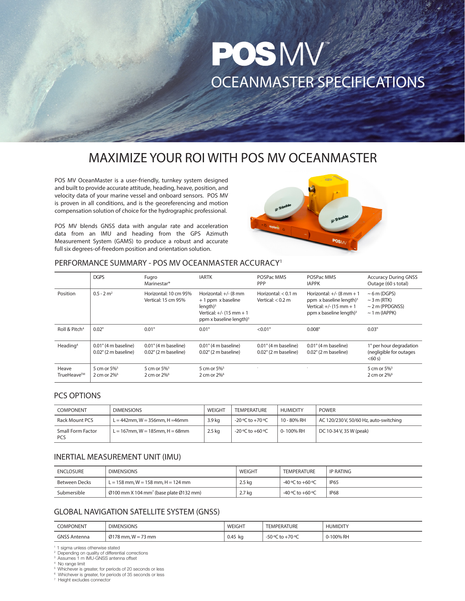# POSMV OCEANMASTER SPECIFICATIONS

# MAXIMIZE YOUR ROI WITH POS MV OCEANMASTER

POS MV OceanMaster is a user-friendly, turnkey system designed and built to provide accurate attitude, heading, heave, position, and velocity data of your marine vessel and onboard sensors. POS MV is proven in all conditions, and is the georeferencing and motion compensation solution of choice for the hydrographic professional.

POS MV blends GNSS data with angular rate and acceleration data from an IMU and heading from the GPS Azimuth Measurement System (GAMS) to produce a robust and accurate full six degrees-of-freedom position and orientation solution.



# PERFORMANCE SUMMARY - POS MV OCEANMASTER ACCURACY1

|                           | <b>DGPS</b>                                                    | Fugro<br>Marinestar <sup>®</sup>                               | <b>IARTK</b>                                                                                                                  | POSPac MMS<br><b>PPP</b>                                       | POSPac MMS<br><b>IAPPK</b>                                                                                                                  | <b>Accuracy During GNSS</b><br>Outage (60 s total)                                  |
|---------------------------|----------------------------------------------------------------|----------------------------------------------------------------|-------------------------------------------------------------------------------------------------------------------------------|----------------------------------------------------------------|---------------------------------------------------------------------------------------------------------------------------------------------|-------------------------------------------------------------------------------------|
| Position                  | $0.5 - 2$ m <sup>2</sup>                                       | Horizontal: 10 cm 95%<br>Vertical: 15 cm 95%                   | Horizontal: $+/-$ (8 mm<br>+1 ppm x baseline<br>$l$ ength $)^3$<br>Vertical: $+/-$ (15 mm $+$ 1<br>ppm x baseline length) $3$ | Horizontal: $< 0.1$ m<br>Vertical: $< 0.2$ m                   | Horizontal: $+/-$ (8 mm $+$ 1<br>ppm x baseline length) <sup>3</sup><br>Vertical: $+/-$ (15 mm $+$ 1<br>ppm x baseline length) <sup>3</sup> | $\sim$ 6 m (DGPS)<br>$\sim$ 3 m (RTK)<br>$\sim$ 2 m (PPDGNSS)<br>$\sim$ 1 m (IAPPK) |
| Roll & Pitch <sup>4</sup> | $0.02^\circ$                                                   | $0.01^\circ$                                                   | $0.01^\circ$                                                                                                                  | $< 0.01$ °                                                     | $0.008^\circ$                                                                                                                               | $0.03^\circ$                                                                        |
| Heading <sup>4</sup>      | $0.01^{\circ}$ (4 m baseline)<br>$0.02^{\circ}$ (2 m baseline) | $0.01^{\circ}$ (4 m baseline)<br>$0.02^{\circ}$ (2 m baseline) | $0.01^{\circ}$ (4 m baseline)<br>$0.02^{\circ}$ (2 m baseline)                                                                | $0.01^{\circ}$ (4 m baseline)<br>$0.02^{\circ}$ (2 m baseline) | $0.01^{\circ}$ (4 m baseline)<br>$0.02^{\circ}$ (2 m baseline)                                                                              | 1° per hour degradation<br>(negligible for outages<br>< 60 s)                       |
| Heave<br>TrueHeave™       | 5 cm or 5% <sup>5</sup><br>2 cm or 2% <sup>6</sup>             | 5 cm or 5% <sup>5</sup><br>2 cm or 2% <sup>6</sup>             | 5 cm or 5% <sup>5</sup><br>2 cm or $2\%$ <sup>6</sup>                                                                         |                                                                |                                                                                                                                             | 5 cm or 5% <sup>5</sup><br>2 cm or 2% <sup>6</sup>                                  |

#### PCS OPTIONS

| <b>COMPONENT</b>                | <b>DIMENSIONS</b>                       | WEIGHT   | <b>TEMPERATURE</b> | <b>HUMIDITY</b> | <b>POWER</b>                           |
|---------------------------------|-----------------------------------------|----------|--------------------|-----------------|----------------------------------------|
| Rack Mount PCS                  | $L = 442$ mm, W = 356mm, H = 46mm       | 3.9 kg   | -20 °C to +70 °C   | 10 - 80% RH     | AC 120/230 V, 50/60 Hz, auto-switching |
| Small Form Factor<br><b>PCS</b> | $L = 167$ mm, $W = 185$ mm, $H = 68$ mm | $2.5$ kg | -20 °C to +60 °C   | 0-100% RH       | DC 10-34 V, 35 W (peak)                |

## INERTIAL MEASUREMENT UNIT (IMU)

| ENCLOSURE     | <b>DIMENSIONS</b>                                                        | WEIGHT   | <b>TEMPERATURE</b>   | IP RATING   |
|---------------|--------------------------------------------------------------------------|----------|----------------------|-------------|
| Between Decks | $L = 158$ mm, $W = 158$ mm, $H = 124$ mm                                 | $2.5$ kg | $-40$ °C to $+60$ °C | <b>IP65</b> |
| Submersible   | $\emptyset$ 100 mm X 104 mm <sup>7</sup> (base plate $\emptyset$ 132 mm) | $2.7$ kg | $-40$ °C to $+60$ °C | IP68        |

# GLOBAL NAVIGATION SATELLITE SYSTEM (GNSS)

| <b>COMPONENT</b><br>the contract of the contract of the contract of the contract of the contract of<br>_____ | <b>DIMENSIONS</b>                                                                                    | WEIGHT<br>the contract of the contract of the contract of | <b>TURF</b><br>EMPERA <sub>1</sub> | <b>HUMIDIT</b> |
|--------------------------------------------------------------------------------------------------------------|------------------------------------------------------------------------------------------------------|-----------------------------------------------------------|------------------------------------|----------------|
| GNSS.<br>tenna                                                                                               | $178$ mm, W<br>$\rightarrow$<br>0.017c<br>73 mm<br>$\cdot$ $ \cdot$<br>$\overline{\phantom{a}}$<br>້ | $0.45$ kg                                                 | $70$ or<br>$-50$ or<br>$+ -$       | , RH<br>100%   |

<sup>1</sup> 1 sigma unless otherwise stated

Depending on quality of differential corrections

3 Assumes 1 m IMU-GNSS antenna offset No range limit 4

Whichever is greater, for periods of 20 seconds or less 6 Whichever is greater, for periods of 35 seconds or less

7 Height excludes connector